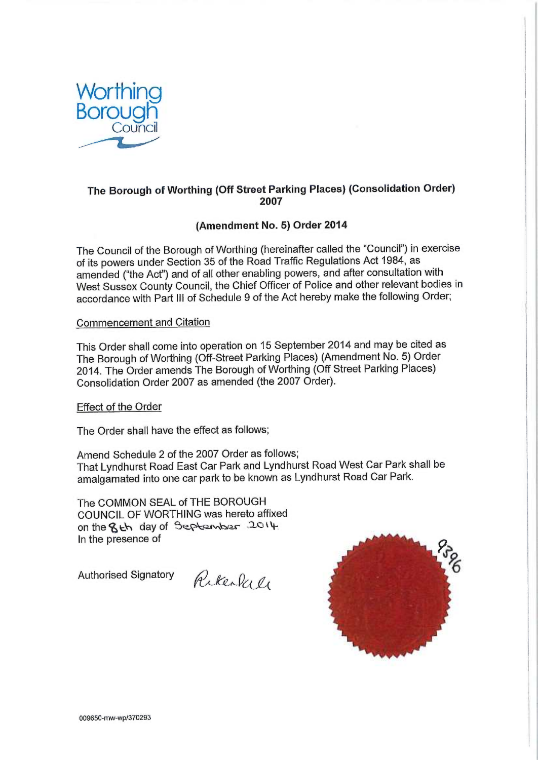

## The Borough of Worthing (Off Street Parking Places) (Consolidation Order) 2007

## (Amendment No. 5) Order 2014

The Council of the Borough of Worthing (hereinafter called the "Council") in exercise of its powers under Section 35 of the Road Traffic Regulations Act 1984, as amended ("the Act") and of all other enabling powers, and after consultation with West Sussex County Council, the Chief Officer of Police and other relevant bodies in accordance with Part III of Schedule 9 of the Act hereby make the following Order;

## Commencement and Citation

This Order shall come into operation on 15 September 2014 and may be cited as The Borough of Worthing (Off-Street Parking Places) (Amendment No. 5) Order 2014. The Order amends The Borough of Worthing (Off Street Parking Places) Consolidation Order 2007 as amended (the 2007 Order).

Effect of the Order

The Order shall have the effect as follows;

Amend Schedule 2 of the 2007 Order as follows; That Lyndhurst Road East Car Park and Lyndhurst Road West Car Park shall be amalgamated into one car park to be known as Lyndhurst Road Car Park.

The COMMON SEAL of THE BOROUGH COUNCIL OF WORTHING was hereto affixed on the  $8th$  day of September  $.2014$ In the presence of

Authorised Signatory  $\omega \omega_o$ 

 $r\omega$